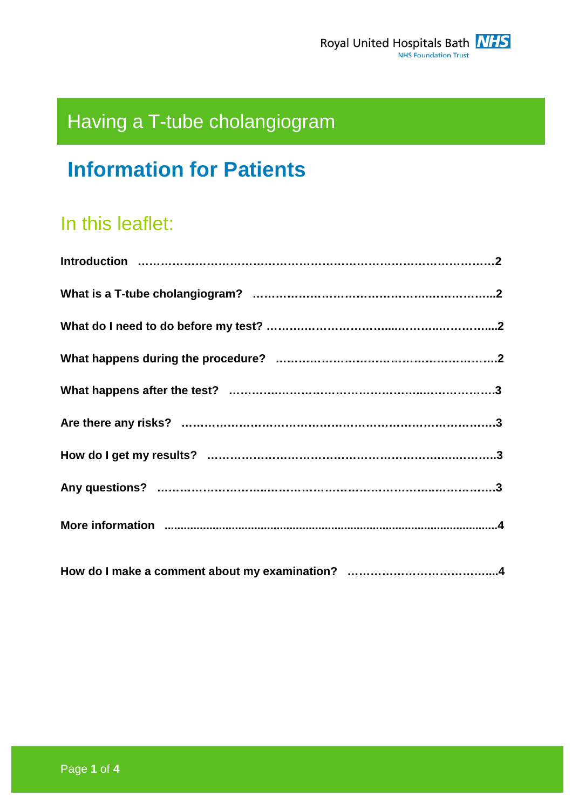# Having a T-tube cholangiogram

## **Information for Patients**

## In this leaflet: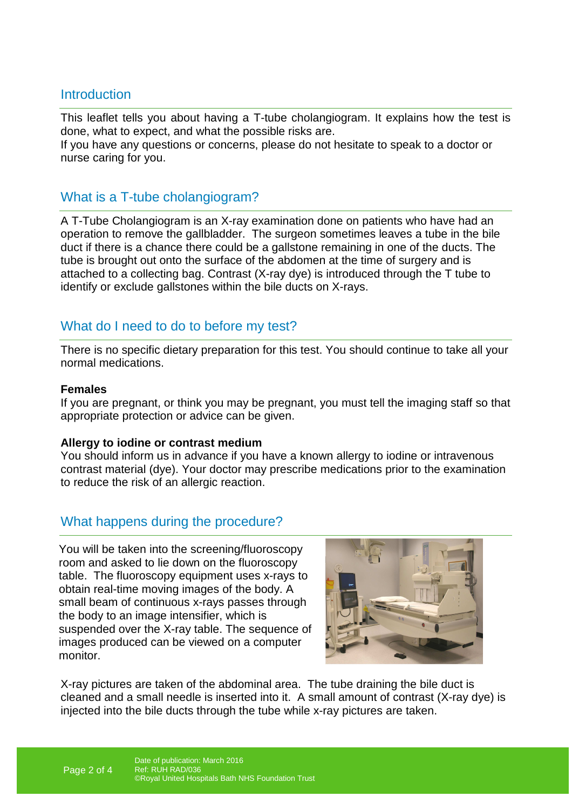## **Introduction**

This leaflet tells you about having a T-tube cholangiogram. It explains how the test is done, what to expect, and what the possible risks are. If you have any questions or concerns, please do not hesitate to speak to a doctor or nurse caring for you.

## What is a T-tube cholangiogram?

A T-Tube Cholangiogram is an X-ray examination done on patients who have had an operation to remove the gallbladder. The surgeon sometimes leaves a tube in the bile duct if there is a chance there could be a gallstone remaining in one of the ducts. The tube is brought out onto the surface of the abdomen at the time of surgery and is attached to a collecting bag. Contrast (X-ray dye) is introduced through the T tube to identify or exclude gallstones within the bile ducts on X-rays.

## What do I need to do to before my test?

There is no specific dietary preparation for this test. You should continue to take all your normal medications.

#### **Females**

If you are pregnant, or think you may be pregnant, you must tell the imaging staff so that appropriate protection or advice can be given.

#### **Allergy to iodine or contrast medium**

You should inform us in advance if you have a known allergy to iodine or intravenous contrast material (dye). Your doctor may prescribe medications prior to the examination to reduce the risk of an allergic reaction.

## What happens during the procedure?

You will be taken into the screening/fluoroscopy room and asked to lie down on the fluoroscopy table. The fluoroscopy equipment uses x-rays to obtain real-time moving images of the body. A small beam of continuous x-rays passes through the body to an image intensifier, which is suspended over the X-ray table. The sequence of images produced can be viewed on a computer monitor.



X-ray pictures are taken of the abdominal area. The tube draining the bile duct is cleaned and a small needle is inserted into it. A small amount of contrast (X-ray dye) is injected into the bile ducts through the tube while x-ray pictures are taken.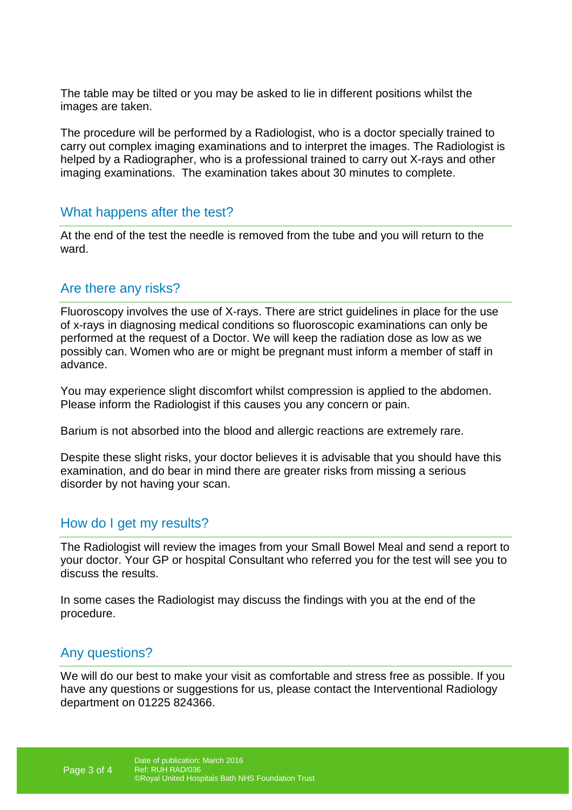The table may be tilted or you may be asked to lie in different positions whilst the images are taken.

The procedure will be performed by a Radiologist, who is a doctor specially trained to carry out complex imaging examinations and to interpret the images. The Radiologist is helped by a Radiographer, who is a professional trained to carry out X-rays and other imaging examinations. The examination takes about 30 minutes to complete.

### What happens after the test?

At the end of the test the needle is removed from the tube and you will return to the ward.

## Are there any risks?

Fluoroscopy involves the use of X-rays. There are strict guidelines in place for the use of x-rays in diagnosing medical conditions so fluoroscopic examinations can only be performed at the request of a Doctor. We will keep the radiation dose as low as we possibly can. Women who are or might be pregnant must inform a member of staff in advance.

You may experience slight discomfort whilst compression is applied to the abdomen. Please inform the Radiologist if this causes you any concern or pain.

Barium is not absorbed into the blood and allergic reactions are extremely rare.

Despite these slight risks, your doctor believes it is advisable that you should have this examination, and do bear in mind there are greater risks from missing a serious disorder by not having your scan.

### How do I get my results?

The Radiologist will review the images from your Small Bowel Meal and send a report to your doctor. Your GP or hospital Consultant who referred you for the test will see you to discuss the results.

In some cases the Radiologist may discuss the findings with you at the end of the procedure.

## Any questions?

We will do our best to make your visit as comfortable and stress free as possible. If you have any questions or suggestions for us, please contact the Interventional Radiology department on 01225 824366.